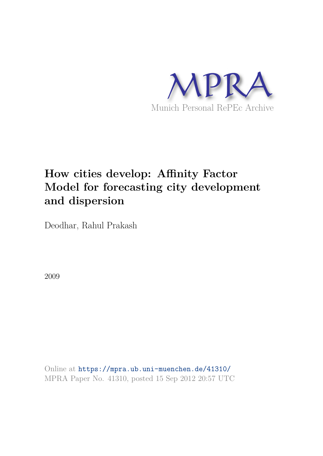

# **How cities develop: Affinity Factor Model for forecasting city development and dispersion**

Deodhar, Rahul Prakash

2009

Online at https://mpra.ub.uni-muenchen.de/41310/ MPRA Paper No. 41310, posted 15 Sep 2012 20:57 UTC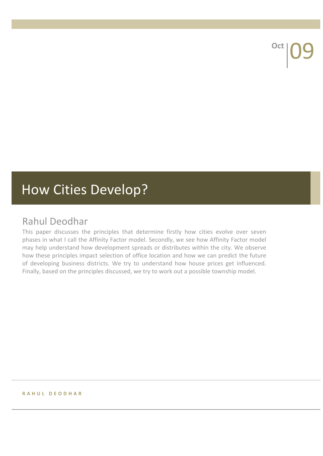<sup>Oct</sup> 09

# How Cities Develop?

# Rahul
Deodhar

This paper discusses the principles that determine firstly how cities evolve over seven phases in what I call the Affinity Factor model. Secondly, we see how Affinity Factor model may
help
understand
how
development
spreads
or
distributes
within
the
city.
We
observe how these principles impact selection of office location and how we can predict the future of
 developing
 business
 districts.
 We
 try
 to
 understand
 how
 house
 prices
 get
 influenced. Finally, based on the principles discussed, we try to work out a possible township model.

#### **R A H U L 
 D E O D H A R**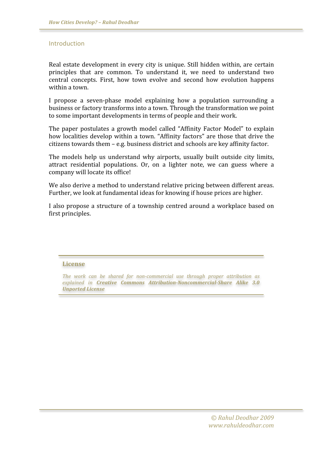#### Introduction

Real estate development in every city is unique. Still hidden within, are certain principles that are common. To understand it, we need to understand two central
 concepts.
 First,
 how
 town
 evolve
 and
 second
 how
 evolution
 happens within
a
town.

I propose a seven-phase model explaining how a population surrounding a business
or
factory
transforms
into
a
town.
Through
the
transformation
we
point to some important developments in terms of people and their work.

The paper postulates a growth model called "Affinity Factor Model" to explain how localities develop within a town. "Affinity factors" are those that drive the citizens
towards
them
–
e.g.
business
district
and
schools
are
key
affinity
factor.

The models help us understand why airports, usually built outside city limits, attract residential populations. Or, on a lighter note, we can guess where a company
will
locate
its
office!

We also derive a method to understand relative pricing between different areas. Further, we look at fundamental ideas for knowing if house prices are higher.

I also propose a structure of a township centred around a workplace based on first
principles.

#### **License**

The work can be shared for non-commercial use through proper attribution as explained in Creative Commons Attribution-Noncommercial-Share Alike 3.0 *Unported
License*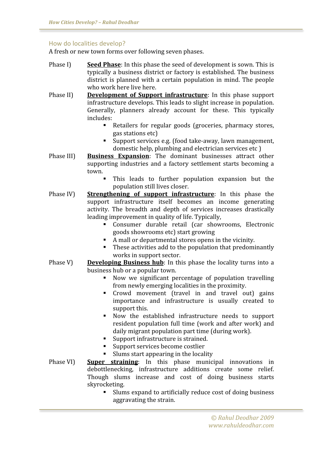#### How
do
localities
develop?

A
fresh
or
new
town
forms over
following
seven
phases.

- Phase I) Seed Phase: In this phase the seed of development is sown. This is typically
a
business
district
or
 factory
is
established.
The
business district is planned with a certain population in mind. The people who
work
here
live
here.
- Phase II) **Development of Support infrastructure**: In this phase support infrastructure
develops.
This
leads
to
slight
increase
in
population. Generally, planners already account for these. This typically includes:
	- Retailers for regular goods (groceries, pharmacy stores, gas
	stations
	etc)
	- Support
	services
	e.g.
	(food
	take‐away,
	lawn
	management, domestic help, plumbing and electrician services etc)
- Phase III) **Business Expansion**: The dominant businesses attract other supporting industries and a factory settlement starts becoming a town.
	- This
	 leads
	 to
	 further
	 population
	 expansion
	 but
	 the population
	still
	lives
	closer.
- Phase IV) **Strengthening of support infrastructure**: In this phase the support infrastructure itself becomes an income generating activity.
 The
 breadth
 and
 depth
 of
 services
 increases
 drastically leading improvement in quality of life. Typically,
	- Consumer
	 durable
	 retail
	 (car
	 showrooms,
	 Electronic goods
	showrooms
	etc)
	start
	growing
	- A mall or departmental stores opens in the vicinity.
	- These activities add to the population that predominantly works
	in
	support
	sector.
- Phase  $V$ ) **Developing Business hub**: In this phase the locality turns into a business
hub
or
a
popular
town.
	- Now
	 we
	 significant
	 percentage
	 of
	 population
	 travelling from
	newly
	emerging
	localities
	in
	the
	proximity.
	- Crowd movement (travel in and travel out) gains importance
	 and
	 infrastructure
	 is
	 usually
	 created
	 to support
	this.
	- Now
	 the
	 established infrastructure
	 needs
	 to
	 support resident population full time (work and after work) and daily
	migrant
	population
	part
	time
	(during
	work).
	- Support
	infrastructure
	is
	strained.
	- Support services become costlier
	- Slums start appearing in the locality
- Phase VI) **Super straining**: In this phase municipal innovations in debottlenecking,
 infrastructure
 additions
 create
 some
 relief. Though
 slums
 increase
 and
 cost
 of
 doing
 business
 starts skyrocketing.
	- Slums
	expand
	to
	artificially
	reduce
	cost
	of
	doing
	business aggravating
	the
	strain.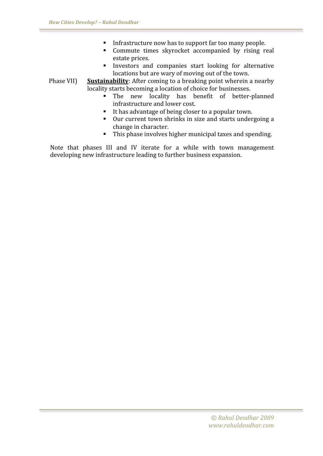- Infrastructure now has to support far too many people.
- Commute times skyrocket accompanied by rising real estate
prices.
- Investors
 and
 companies
 start
 looking for
 alternative locations but are wary of moving out of the town.

Phase VII) **Sustainability**: After coming to a breaking point wherein a nearby locality starts becoming a location of choice for businesses.

- The new locality has benefit of better-planned infrastructure
and
lower
cost.
- It has advantage of being closer to a popular town.
- Our current town shrinks in size and starts undergoing a change
in
character.
- This phase involves higher municipal taxes and spending.

Note that phases III and IV iterate for a while with town management developing
new
infrastructure
leading
to
further
business
expansion.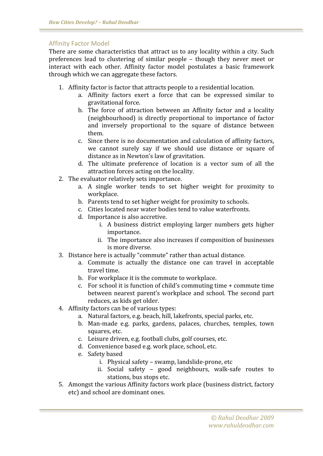#### Affinity
Factor
Model

There are some characteristics that attract us to any locality within a city. Such preferences
 lead
 to
 clustering
 of
 similar
 people –
 though
 they
 never
 meet
 or interact
 with
 each
 other.
 Affinity
 factor
 model postulates
 a
 basic
 framework through
which
we
can
aggregate
these
factors.

- 1. Affinity
factor
is
factor
that
attracts
people
to
a
residential
location.
	- a. Affinity
	 factors
	 exert
	 a
	 force
	 that
	 can
	 be expressed
	 similar
	 to gravitational
	force.
	- b. The force of attraction between an Affinity factor and a locality (neighbourhood)
	 is
	 directly
	 proportional
	 to
	 importance
	 of
	 factor and
	 inversely
	 proportional
	 to
	 the square
	 of distance
	 between them.
	- c. Since
	there
	is
	no
	documentation
	and
	calculation
	of
	affinity
	factors, we cannot surely say if we should use distance or square of distance
	as
	in
	Newton's
	law
	of
	gravitation.
	- d. The
	 ultimate
	 preference
	 of
	 location
	 is
	 a
	 vector
	 sum
	 of
	 all
	 the attraction
	forces
	acting
	on
	the
	locality.
- 2. The
evaluator
relatively
sets
importance.
	- a. A single worker tends to set higher weight for proximity to workplace.
	- b. Parents
	tend
	to
	set
	higher
	weight
	for
	proximity
	to
	schools.
	- c. Cities
	located
	near
	water
	bodies
	tend
	to
	value
	waterfronts.
	- d. Importance
	is
	also
	accretive.
		- i. A
		 business
		 district
		 employing
		 larger numbers
		 gets
		 higher importance.
		- ii. The
		importance
		also
		increases
		if
		composition
		of
		businesses is
		more
		diverse.
- 3. Distance
here
is
actually
"commute"
rather
than
actual
distance.
	- a. Commute
	 is
	 actually
	 the
	 distance
	 one
	 can
	 travel
	 in
	 acceptable travel
	time.
	- b. For
	workplace
	it
	is
	the
	commute
	to
	workplace.
	- c. For
	school
	it
	is
	function
	of
	child's
	commuting
	time
	+
	commute
	time between
	 nearest
	 parent's
	workplace
	 and
	 school.
	 The
	 second
	 part reduces,
	as
	kids
	get
	older.
- 4. Affinity
factors
can
be
of
various
types:
	- a. Natural factors, e.g. beach, hill, lakefronts, special parks, etc.
	- b. Man‐made
	 e.g.
	 parks,
	 gardens,
	 palaces,
	 churches,
	 temples,
	 town squares,
	etc.
	- c. Leisure
	driven,
	e.g.
	football
	clubs,
	golf
	courses,
	etc.
	- d. Convenience
	based
	e.g.
	work
	place,
	school,
	etc.
	- e. Safety
	based
		- i. Physical
		safety
		–
		swamp,
		landslide‐prone,
		etc
		- ii. Social
		 safety –
		 good neighbours,
		 walk‐safe
		 routes
		 to stations,
		bus
		stops
		etc.
- 5. Amongst
the
various
Affinity
factors
work
place
(business
district,
factory etc)
and
school
are
dominant
ones.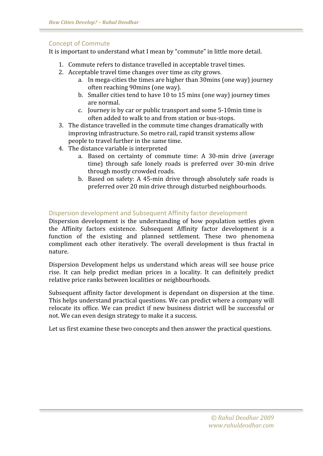# Concept
of
Commute

It is important to understand what I mean by "commute" in little more detail.

- 1. Commute
refers
to
distance
travelled
in
acceptable
travel
times.
- 2. Acceptable
travel
time
changes
over
time
as
city
grows.
	- a. In
	mega‐cities
	the
	times
	are
	higher
	than
	30mins
	(one
	way)
	journey often
	reaching
	90mins
	(one
	way).
	- b. Smaller cities tend to have 10 to 15 mins (one way) journey times are
	normal.
	- c. Journey
	is
	by
	car
	or
	public
	transport
	and
	some
	5‐10min
	time
	is often
	added
	to
	walk
	to
	and
	from
	station
	or
	bus‐stops.
- 3. The
distance
travelled
in
the
commute
time
changes
dramatically
with improving
infrastructure.
So
metro
rail,
rapid
transit
systems
allow people
to
travel
further
in
the
same
time.
- 4. The
distance
variable
is
interpreted
	- a. Based
	 on certainty
	 of
	 commute
	 time:
	 A
	 30‐min
	 drive
	 (average time) through safe lonely roads is preferred over 30-min drive through
	mostly
	crowded
	roads.
	- b. Based on safety: A 45-min drive through absolutely safe roads is preferred
	over
	20
	min
	drive
	through
	disturbed
	neighbourhoods.

# Dispersion
development
and
Subsequent
Affinity
factor
development

Dispersion development is the understanding of how population settles given the
 Affinity
 factors
 existence.
 Subsequent
 Affinity
 factor
 development
 is
 a function of the existing and planned settlement. These two phenomena compliment each other iteratively. The overall development is thus fractal in nature.

Dispersion
Development
 helps
 us
 understand
which
areas
will
 see
 house
 price rise. It can help predict median prices in a locality. It can definitely predict relative
price
ranks
between
localities
or
neighbourhoods.

Subsequent affinity factor development is dependant on dispersion at the time. This
helps
understand
practical
questions.
We
can
predict
where
a
company
will relocate its office. We can predict if new business district will be successful or not.
We
can
even
design
strategy
to
make
it
a
success.

Let us first examine these two concepts and then answer the practical questions.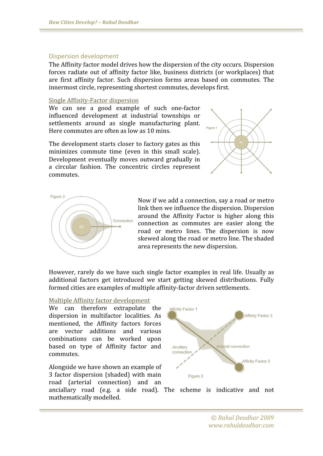#### Dispersion
development

The
Affinity
factor
model
drives
how
the
dispersion
of
the
city
occurs.
Dispersion forces radiate out of affinity factor like, business districts (or workplaces) that are
 first
 affinity
 factor. Such
 dispersion
 forms
 areas
 based
 on
 commutes.
 The innermost
circle,
representing
shortest
commutes,
develops
first.

#### Single
Affinity‐Factor
dispersion

We can see a good example of such one-factor influenced
 development
 at
 industrial
 townships
 or settlements around as single manufacturing plant. Here
commutes
are
often
as
low
as
10 mins.

The
development
starts
closer
to
factory
gates
as
this minimizes commute time (even in this small scale). Development eventually moves outward gradually in a
 circular
 fashion.
 The
 concentric circles
 represent commutes.





Now
if
we
add
a
connection,
say
a
road
or
metro link
then
we
influence
the
dispersion.
Dispersion around
 the
 Affinity
 Factor is
 higher
 along
 this connection
 as
 commutes
 are
 easier
 along
 the road
 or
 metro
 lines.
 The dispersion
 is
 now skewed
along
the
road
or
metro
line.
The
shaded area
represents
the
new
dispersion.

However, rarely do we have such single factor examples in real life. Usually as additional
 factors
 get
 introduced
 we
 start
 getting
 skewed
 distributions. Fully formed
cities
are
examples
of
multiple
affinity‐factor
driven
settlements.

#### Multiple
Affinity
factor
development

We can therefore extrapolate the dispersion
 in
 multifactor
 localities. As mentioned,
 the
 Affinity
 factors
 forces are
 vector
 additions
 and
 various combinations
 can
 be
 worked
 upon based
 on
 type
 of
 Affinity
 factor
 and commutes.

Alongside
we
have
shown
an
example
of 3
 factor
 dispersion
 (shaded)
 with
main road
 (arterial
 connection)
 and
 an



anciallary
 road
 (e.g.
 a side
 road).
 The
 scheme
 is
 indicative
 and
 not mathematically
modelled.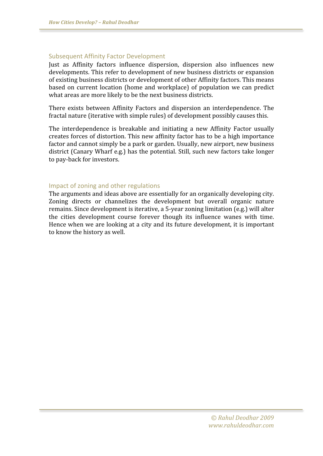## Subsequent
Affinity
Factor
Development

Just as Affinity factors influence dispersion, dispersion also influences new developments. This refer to development of new business districts or expansion of
existing
business
districts
or
development
of
other
Affinity
factors.
This
means based
 on
 current
location
 (home
 and
workplace)
 of
 population
we
 can
 predict what areas are more likely to be the next business districts.

There
 exists
 between
 Affinity
 Factors
 and
 dispersion an interdependence.
 The fractal
nature
(iterative
with
simple
rules)
of
development
possibly
causes
this.

The interdependence is breakable and initiating a new Affinity Factor usually creates
forces
of
distortion.
This
new
affinity
factor
has
to
be
a
high
importance factor and cannot simply be a park or garden. Usually, new airport, new business district
(Canary
Wharf
e.g.)
has
the
potential.
Still,
such
new
 factors
take
longer to
pay‐back
for
investors.

## Impact
of
zoning
and
other
regulations

The
arguments
and
ideas
above
are
essentially
for
an
organically
developing
city. Zoning
 directs
 or
 channelizes
 the
 development
 but overall
 organic
 nature remains.
Since
development
is
iterative,
a
5‐year
zoning
limitation
(e.g.)
will
alter the
 cities
 development
 course
 forever
 though
 its
 influence
 wanes
 with
 time. Hence when we are looking at a city and its future development, it is important to
know
the
history
as
well.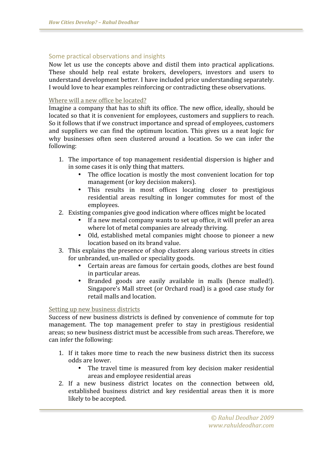# Some
practical
observations
and
insights

Now
 let
 us
 use
 the
 concepts
 above
 and distil
 them
 into
 practical
 applications. These should help real estate brokers, developers, investors and users to understand development better. I have included price understanding separately. I
would
love
to
hear
examples
reinforcing
or
contradicting
these
observations.

#### Where will a new office be located?

Imagine a company that has to shift its office. The new office, ideally, should be located so that it is convenient for employees, customers and suppliers to reach. So it follows that if we construct importance and spread of employees, customers and suppliers we can find the optimum location. This gives us a neat logic for why businesses often seen clustered around a location. So we can infer the following:

- 1. The
importance
 of
 top
management
 residential
 dispersion
is
 higher
and in
some
cases
it
is
only
thing
that
matters.
	- The office location is mostly the most convenient location for top management
	(or
	key
	decision
	makers).
	- This results in most offices locating closer to prestigious residential
	 areas
	 resulting
	 in
	 longer
	 commutes
	 for
	 most
	 of
	 the employees.
- 2. Existing
companies
give
good
indication
where
offices
might
be
located
	- If a new metal company wants to set up office, it will prefer an area where
	lot
	of
	metal
	companies
	are
	already
	thriving.
	- Old, established metal companies might choose to pioneer a new location based on its brand value.
- 3. This
explains
the
presence
of
shop
clusters
along
various
streets
in
cities for
unbranded,
un‐malled
or
speciality
goods.
	- Certain areas are famous for certain goods, clothes are best found in
	particular
	areas.
	- Branded
	 goods are
	 easily available
	 in
	 malls
	 (hence malled!). Singapore's Mall street (or Orchard road) is a good case study for retail
	malls
	and
	location.

#### Setting
up
new
business
districts

Success of new business districts is defined by convenience of commute for top management. The top management prefer to stay in prestigious residential areas;
so
new
business
district
must
be
accessible
from
such
areas. Therefore,
we can
infer
the
following:

- 1. If it takes more time to reach the new business district then its success odds
are
lower.
	- The travel time is measured from key decision maker residential areas
	and
	employee
	residential
	areas
- 2. If
 a
 new
 business
 district
 locates
 on
 the
 connection
 between
 old, established
 business
 district
 and
 key
 residential
 areas
 then
 it
 is
 more likely
to
be
accepted.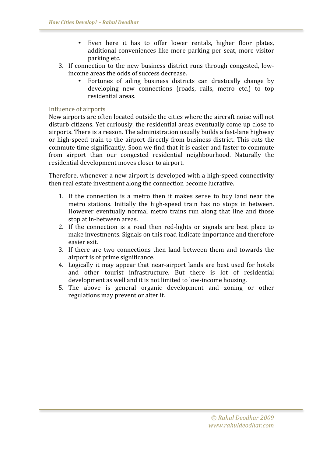- Even here it has to offer lower rentals, higher floor plates, additional
 conveniences
 like
 more
 parking
 per
 seat,
 more
 visitor parking
etc.
- 3. If connection to the new business district runs through congested, lowincome
areas
the
odds
of
success
decrease.
	- Fortunes of ailing business districts can drastically change by developing new connections (roads, rails, metro etc.) to top residential
	areas.

## Influence
of
airports

New
airports
are
often
located
outside
the
cities
where
the
aircraft
noise
will
not disturb citizens. Yet curiously, the residential areas eventually come up close to airports.
There
is
a
reason.
The
administration
usually
builds
a
fast‐lane
highway or high-speed train to the airport directly from business district. This cuts the commute
time
significantly.
Soon
we
find
that
it
is
easier
and
faster
to
commute from airport than our congested residential neighbourhood. Naturally the residential
development
moves
closer
to
airport.

Therefore,
whenever
a
new
airport
is
developed
with
a
high‐speed
connectivity then
real
estate
investment
along
the
connection
become
lucrative.

- 1. If the connection is a metro then it makes sense to buy land near the metro stations. Initially the high-speed train has no stops in between. However eventually normal metro trains run along that line and those stop
at
in‐between
areas.
- 2. If the connection is a road then red-lights or signals are best place to make
investments.
Signals
on
this
road
indicate
importance
and
therefore easier exit
- 3. If there are two connections then land between them and towards the airport
is
of
prime
significance.
- 4. Logically it may appear that near-airport lands are best used for hotels and
 other
 tourist
 infrastructure.
 But
 there
 is
 lot
 of
 residential development as well and it is not limited to low-income housing.
- 5. The
 above
 is
 general
 organic
 development
 and
 zoning
 or
 other regulations
may
prevent
or
alter
it.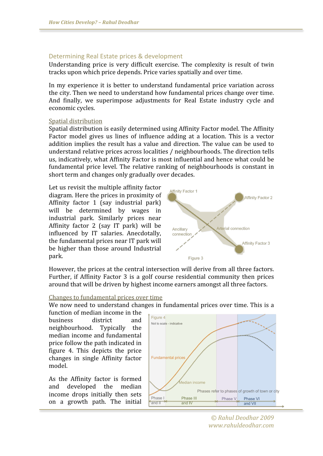# Determining
Real
Estate
prices
&
development

Understanding price is very difficult exercise. The complexity is result of twin tracks
upon
which
price
depends.
Price
varies
spatially
and
over
time.

In my experience it is better to understand fundamental price variation across the
city.
Then
we
need
to
understand
how
fundamental
prices
change
over
time. And
 finally,
 we
 superimpose
 adjustments
 for
 Real
 Estate
 industry
 cycle
 and economic
cycles.

## Spatial
distribution

Spatial distribution is easily determined using Affinity Factor model. The Affinity Factor model gives us lines of influence adding at a location. This is a vector addition implies the result has a value and direction. The value can be used to understand
relative
prices
across
localities
/
neighbourhoods.
The
direction
tells us,
indicatively,
what
Affinity
Factor
is
most
influential
and
hence
what
could
be fundamental price level. The relative ranking of neighbourhoods is constant in short
term
and
changes
only
gradually
over
decades.

Let us revisit the multiple affinity factor diagram.
Here
the
prices
in
proximity
of Affinity
 factor
 1
 (say
 industrial
 park) will
 be
 determined
 by
 wages
 in industrial
 park.
 Similarly
 prices
 near Affinity
 factor
 2
 (say
 IT
 park)
 will
 be influenced
 by
 IT
 salaries.
 Anecdotally, the
fundamental
prices
near
IT
park
will be
 higher
 than
 those
 around
 Industrial park.



However, the prices at the central intersection will derive from all three factors. Further, if Affinity Factor 3 is a golf course residential community then prices around
that
will
be
driven
by
highest
income
earners
amongst
all
three
factors.

## Changes
to
fundamental
prices
over
time

We now need to understand changes in fundamental prices over time. This is a

function of median income in the business
 district
 and neighbourhood.
 Typically
 the median
income
and
 fundamental price
follow
the
path
indicated
in figure
 4.
 This
 depicts
 the
 price changes
 in
 single
 Affinity
 factor model.

As
 the
 Affinity
 factor
 is
 formed and
 developed
 the
 median income
 drops
 initially
 then
 sets on
 a
 growth
 path. The
 initial



*©
Rahul
Deodhar
2009 www.rahuldeodhar.com*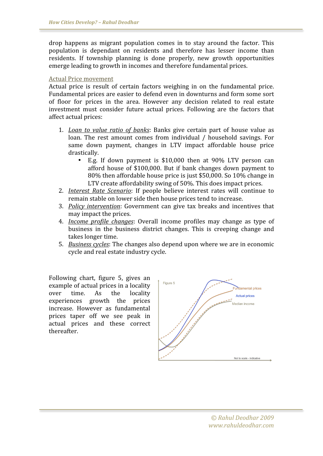drop
 happens
 as
 migrant
 population
 comes
 in
 to
 stay
 around
 the
 factor.
 This population is dependant on residents and therefore has lesser income than residents.
 If
 township
 planning
 is
 done
 properly,
 new
 growth
 opportunities emerge
leading
to
growth
in
incomes
and
therefore
fundamental
prices.

#### Actual
Price
movement

Actual price is result of certain factors weighing in on the fundamental price. Fundamental
prices
are
easier
to
defend
even
in
downturns
and
form
some
sort of floor for prices in the area. However any decision related to real estate investment must consider future actual prices. Following are the factors that affect
actual
prices:

- 1. *Loan to value ratio of banks*: Banks give certain part of house value as loan. The rest amount comes from individual / household savings. For same down
 payment,
 changes
 in
 LTV
 impact
 affordable
 house
 price drastically.
	- E.g. If down payment is \$10,000 then at 90% LTV person can afford
	 house
	 of
	 \$100,000.
	 But
	 if
	 bank
	 changes down
	 payment
	 to 80%
	then
	affordable
	house
	price
	is
	just
	\$50,000.
	So
	10%
	change
	in LTV create affordability swing of 50%. This does impact prices.
- 2. *Interest Rate Scenario*: If people believe interest rates will continue to remain
stable
on
lower
side
then
house
prices
tend
to
increase.
- 3. *Policy intervention*:
 Government
 can
 give
 tax
 breaks
 and
 incentives
 that may
impact
the
prices.
- 4. *Income profile changes*: Overall income profiles may change as type of business in the business district changes. This is creeping change and takes
longer
time.
- 5. *Business
cycles*:
The
changes
also
depend
upon
where
we
are
in
economic cycle
and
real
estate
industry
cycle.

Following
 chart,
 figure
 5,
 gives
 an example
of
actual
prices
in
a
locality over
 time.
 As
 the
 locality experiences
 growth
 the
 prices increase.
 However
 as fundamental prices
 taper
 off
 we
 see
 peak
 in actual prices and these correct thereafter.

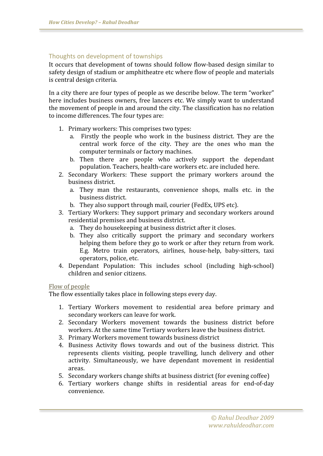# Thoughts
on
development
of
townships

It occurs that development of towns should follow flow-based design similar to safety design of stadium or amphitheatre etc where flow of people and materials is
central
design
criteria.

In a city there are four types of people as we describe below. The term "worker" here includes business owners, free lancers etc. We simply want to understand the
movement
of
people
in
and
around
the
city.
The
classification
has
no
relation to
income
differences.
The
four
types
are:

- 1. Primary
workers:
This
comprises
two
types:
	- a. Firstly the
	 people
	 who
	 work
	 in the business
	 district.
	 They
	 are
	 the central
	 work force
	 of
	 the
	 city.
	 They
	 are
	 the
	 ones
	 who
	 man
	 the computer
	terminals
	or
	factory
	machines.
	- b. Then
	 there
	 are
	 people
	 who
	 actively
	 support
	 the
	 dependant population.
	Teachers,
	health‐care
	workers
	etc.
	are
	included
	here.
- 2. Secondary
 Workers:
 These
 support
 the
 primary
 workers
 around
 the business
district.
	- a. They
	 man
	 the
	 restaurants,
	 convenience
	 shops,
	 malls
	 etc.
	 in
	 the business
	district.
	- b. They
	also
	support
	through
	mail,
	courier
	(FedEx,
	UPS
	etc).
- 3. Tertiary
Workers:
They
support
primary
and
secondary
workers
around residential
premises
and
business
district.
	- a. They
	do
	housekeeping
	at
	business
	district
	after
	it
	closes.
	- b. They
	 also
	 critically
	 support
	 the
	 primary
	 and
	 secondary
	 workers helping them before they go to work or after they return from work. E.g. Metro train operators, airlines, house-help, baby-sitters, taxi operators,
	police,
	etc.
- 4. Dependant
 Population:
 This
 includes
 school
 (including
 high‐school) children
and
senior
citizens.

#### Flow
of
people

The
flow
essentially
takes
place
in
following
steps
every
day.

- 1. Tertiary
 Workers movement
 to
 residential
 area
 before primary
 and secondary
workers
can leave
for
work.
- 2. Secondary
 Workers movement
 towards
 the
 business
 district
 before workers.
At
the
same
time
Tertiary
workers
leave
the
business
district.
- 3. Primary
Workers movement
towards
business
district
- 4. Business
 Activity
 flows
 towards and
 out
 of
 the business
 district.
 This represents clients visiting, people travelling, lunch delivery and other activity.
 Simultaneously,
 we
 have
 dependant
 movement
 in
 residential areas.
- 5. Secondary
workers
change
shifts
at
business
district
(for
evening
coffee)
- 6. Tertiary
 workers change
 shifts
 in residential
 areas
 for
 end‐of‐day convenience.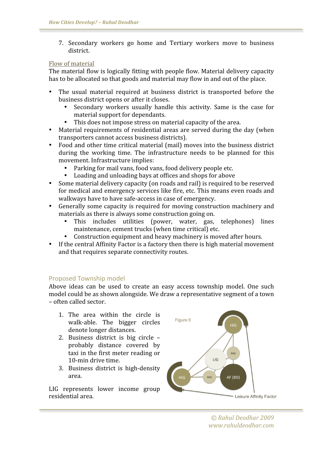7. Secondary
 workers
 go
 home
 and
 Tertiary
 workers
 move
 to
 business district.

## Flow
of
material

The
material
flow
is
logically
fitting
with
people
flow.
Material
delivery
capacity has to be allocated so that goods and material may flow in and out of the place.

- The usual material required at business district is transported before the business
district
opens
or
after
it
closes.
	- Secondary workers usually handle this activity. Same is the case for material
	support
	for
	dependants.
		- This does not impose stress on material capacity of the area.
- Material requirements of residential areas are served during the day (when transporters
cannot
access
business
districts).
- Food and other time critical material (mail) moves into the business district during the working time. The infrastructure needs to be planned for this movement. Infrastructure
implies:
	- Parking for mail vans, food vans, food delivery people etc.
	- Loading and unloading bays at offices and shops for above
- Some material delivery capacity (on roads and rail) is required to be reserved for
medical
and
emergency
services
like
fire,
etc.
This
means
even
roads
and walkways have to have safe-access in case of emergency.
- Generally some capacity is required for moving construction machinery and materials
as
there
is
always
some
construction
going
on.
	- This includes utilities (power, water, gas, telephones) lines maintenance,
	cement
	trucks
	(when
	time
	critical)
	etc.
	- Construction equipment and heavy machinery is moved after hours.
- If the central Affinity Factor is a factory then there is high material movement and
that
requires
separate
connectivity
routes.

## Proposed
Township
model

Above ideas can be used to create an easy access township model. One such model
could
be
as
shown
alongside.
We
draw
a
representative
segment
of
a
town –
often
called
sector.

- 1. The
 area
 within
 the
 circle
 is walk‐able.
 The
 bigger
 circles denote
longer
distances.
- 2. Business
 district
 is
 big
 circle probably
 distance
 covered
 by taxi
in
the
first
meter
reading
or 10‐min
drive
time.
- 3. Business
 district
 is
 high‐density area.

LIG
 represents
 lower
 income
 group residential
area.

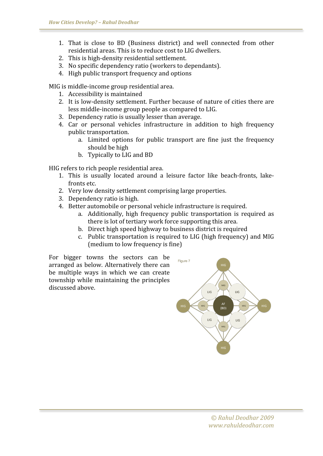- 1. That
 is
 close
 to
 BD
 (Business
 district)
 and
 well
 connected
 from
 other residential
areas.
This
is
to
reduce
cost
to
LIG
dwellers.
- 2. This
is
high‐density
residential
settlement.
- 3. No
specific
dependency
ratio
(workers
to
dependants).
- 4. High
public
transport
frequency
and
options

MIG
is
middle‐income
group
residential
area.

- 1. Accessibility
is
maintained
- 2. It is low-density settlement. Further because of nature of cities there are less
middle‐income
group
people
as
compared
to
LIG.
- 3. Dependency
ratio
is
usually
lesser
than
average.
- 4. Car
 or
 personal
 vehicles
 infrastructure
 in
 addition
 to
 high
 frequency public
transportation.
	- a. Limited options for public transport are fine just the frequency should
	be
	high
	- b. Typically
	to
	LIG
	and
	BD

HIG
refers
to
rich
people
residential
area.

- 1. This is usually located around a leisure factor like beach-fronts, lakefronts
etc.
- 2. Very
low
density
settlement
comprising
large
properties.
- 3. Dependency
ratio
is
high.
- 4. Better
automobile
or
personal
vehicle
infrastructure
is
required.
	- a. Additionally,
	 high
	 frequency
	 public
	 transportation
	 is
	 required
	 as there is lot of tertiary work force supporting this area.
	- b. Direct
	high
	speed
	highway
	to
	business
	district
	is
	required
	- c. Public
	transportation
	is
	required
	to
	LIG
	(high
	frequency)
	and
	MIG (medium
	to
	low
	frequency
	is
	fine)

For
 bigger
 towns
 the
 sectors
 can
 be arranged
as
below.
Alternatively
 there
can be
 multiple
 ways
 in
 which
 we
 can
 create township
 while
maintaining
 the
 principles discussed
above.